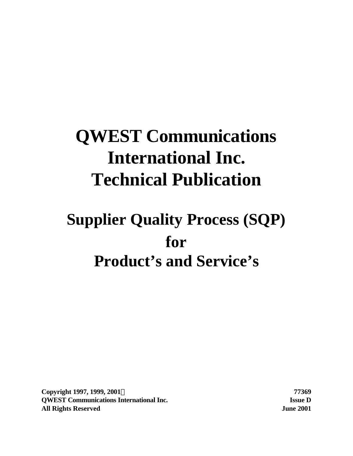# **QWEST Communications International Inc. Technical Publication**

# **Supplier Quality Process (SQP) for Product's and Service's**

**Copyright 1997, 1999, 2001Ó 77369 QWEST Communications International Inc. Issue D All Rights Reserved June 2001**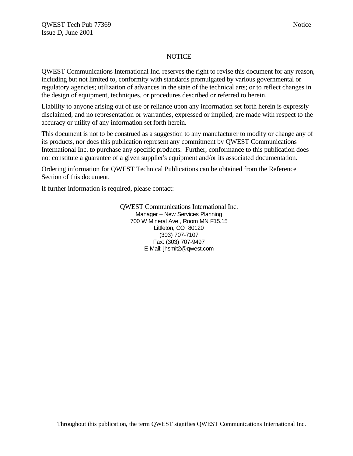#### NOTICE

QWEST Communications International Inc. reserves the right to revise this document for any reason, including but not limited to, conformity with standards promulgated by various governmental or regulatory agencies; utilization of advances in the state of the technical arts; or to reflect changes in the design of equipment, techniques, or procedures described or referred to herein.

Liability to anyone arising out of use or reliance upon any information set forth herein is expressly disclaimed, and no representation or warranties, expressed or implied, are made with respect to the accuracy or utility of any information set forth herein.

This document is not to be construed as a suggestion to any manufacturer to modify or change any of its products, nor does this publication represent any commitment by QWEST Communications International Inc. to purchase any specific products. Further, conformance to this publication does not constitute a guarantee of a given supplier's equipment and/or its associated documentation.

Ordering information for QWEST Technical Publications can be obtained from the Reference Section of this document.

If further information is required, please contact:

QWEST Communications International Inc. Manager – New Services Planning 700 W Mineral Ave., Room MN F15.15 Littleton, CO 80120 (303) 707-7107 Fax: (303) 707-9497 E-Mail: jhsmit2@qwest.com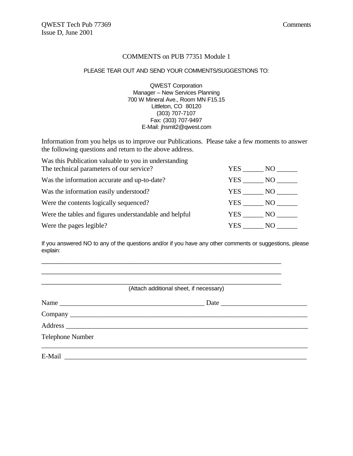#### COMMENTS on PUB 77351 Module 1

#### PLEASE TEAR OUT AND SEND YOUR COMMENTS/SUGGESTIONS TO:

QWEST Corporation Manager – New Services Planning 700 W Mineral Ave., Room MN F15.15 Littleton, CO 80120 (303) 707-7107 Fax: (303) 707-9497 E-Mail: jhsmit2@qwest.com

Information from you helps us to improve our Publications. Please take a few moments to answer the following questions and return to the above address.

| Was this Publication valuable to you in understanding  |        |          |
|--------------------------------------------------------|--------|----------|
| The technical parameters of our service?               | YES    |          |
| Was the information accurate and up-to-date?           | YES    | $NO_{-}$ |
| Was the information easily understood?                 | YES NO |          |
| Were the contents logically sequenced?                 |        | YES NO   |
| Were the tables and figures understandable and helpful | YES    | NO –     |
| Were the pages legible?                                | YES    | NO.      |

If you answered NO to any of the questions and/or if you have any other comments or suggestions, please explain:

\_\_\_\_\_\_\_\_\_\_\_\_\_\_\_\_\_\_\_\_\_\_\_\_\_\_\_\_\_\_\_\_\_\_\_\_\_\_\_\_\_\_\_\_\_\_\_\_\_\_\_\_\_\_\_\_\_\_\_\_\_\_\_\_\_\_\_\_\_\_\_\_\_\_\_\_\_

| Name             | Date |
|------------------|------|
|                  |      |
|                  |      |
|                  |      |
| Telephone Number |      |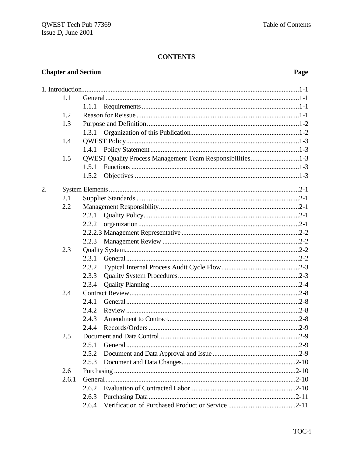### **CONTENTS**

## **Chapter and Section**

## Page

| 1.1 |       |       |                                                           |
|-----|-------|-------|-----------------------------------------------------------|
|     |       | 1.1.1 |                                                           |
|     | 1.2   |       |                                                           |
|     | 1.3   |       |                                                           |
|     |       | 1.3.1 |                                                           |
|     | 1.4   |       |                                                           |
|     |       | 1.4.1 |                                                           |
|     | 1.5   |       | QWEST Quality Process Management Team Responsibilities1-3 |
|     |       | 1.5.1 |                                                           |
|     |       | 1.5.2 |                                                           |
| 2.  |       |       |                                                           |
|     | 2.1   |       |                                                           |
|     | 2.2   |       |                                                           |
|     |       | 2.2.1 |                                                           |
|     |       | 2.2.2 |                                                           |
|     |       |       |                                                           |
|     |       | 2.2.3 |                                                           |
|     | 2.3   |       |                                                           |
|     |       |       |                                                           |
|     |       | 2.3.2 |                                                           |
|     |       | 2.3.3 |                                                           |
|     |       | 2.3.4 |                                                           |
|     | 2.4   |       |                                                           |
|     |       | 2.4.1 |                                                           |
|     |       | 2.4.2 |                                                           |
|     |       | 2.4.3 |                                                           |
|     |       | 2.4.4 |                                                           |
|     | 2.5   |       |                                                           |
|     |       | 2.5.1 |                                                           |
|     |       | 2.5.2 |                                                           |
|     |       | 2.5.3 |                                                           |
|     | 2.6   |       |                                                           |
|     | 2.6.1 |       |                                                           |
|     |       | 2.6.2 |                                                           |
|     |       | 2.6.3 |                                                           |
|     |       | 2.6.4 |                                                           |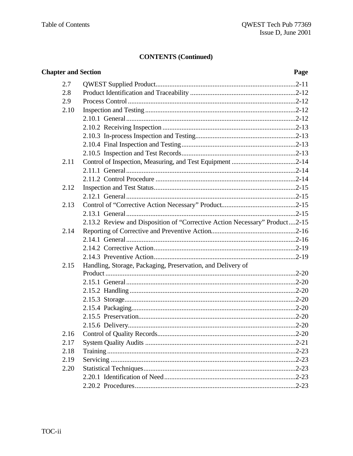## **CONTENTS (Continued)**

| <b>Chapter and Section</b> |                                                                            | Page |
|----------------------------|----------------------------------------------------------------------------|------|
| 2.7                        |                                                                            |      |
| 2.8                        |                                                                            |      |
| 2.9                        |                                                                            |      |
| 2.10                       |                                                                            |      |
|                            |                                                                            |      |
|                            |                                                                            |      |
|                            |                                                                            |      |
|                            |                                                                            |      |
|                            |                                                                            |      |
| 2.11                       |                                                                            |      |
|                            |                                                                            |      |
|                            |                                                                            |      |
| 2.12                       |                                                                            |      |
|                            |                                                                            |      |
| 2.13                       |                                                                            |      |
|                            |                                                                            |      |
|                            | 2.13.2 Review and Disposition of "Corrective Action Necessary" Product2-15 |      |
| 2.14                       |                                                                            |      |
|                            |                                                                            |      |
|                            |                                                                            |      |
| 2.15                       | Handling, Storage, Packaging, Preservation, and Delivery of                |      |
|                            |                                                                            |      |
|                            |                                                                            |      |
|                            |                                                                            |      |
|                            |                                                                            |      |
|                            |                                                                            |      |
|                            |                                                                            |      |
|                            |                                                                            |      |
| 2.16                       |                                                                            |      |
| 2.17                       |                                                                            |      |
| 2.18                       |                                                                            |      |
| 2.19                       |                                                                            |      |
| 2.20                       |                                                                            |      |
|                            |                                                                            |      |
|                            |                                                                            |      |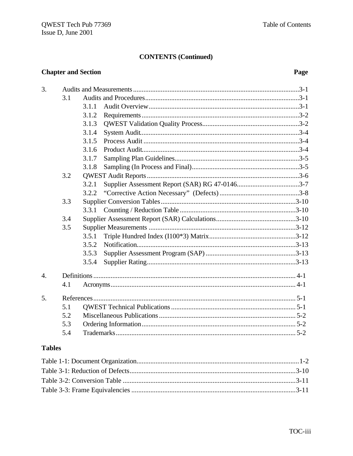#### **CONTENTS (Continued)**

### **Chapter and Section**

### Page

| 3.               |     |       |  |  |
|------------------|-----|-------|--|--|
|                  | 3.1 |       |  |  |
|                  |     | 3.1.1 |  |  |
|                  |     | 3.1.2 |  |  |
|                  |     | 3.1.3 |  |  |
|                  |     | 3.1.4 |  |  |
|                  |     | 3.1.5 |  |  |
|                  |     | 3.1.6 |  |  |
|                  |     | 3.1.7 |  |  |
|                  |     | 3.1.8 |  |  |
|                  | 3.2 |       |  |  |
|                  |     | 3.2.1 |  |  |
|                  |     | 3.2.2 |  |  |
|                  | 3.3 |       |  |  |
|                  |     | 3.3.1 |  |  |
|                  | 3.4 |       |  |  |
|                  | 3.5 |       |  |  |
|                  |     | 3.5.1 |  |  |
|                  |     | 3.5.2 |  |  |
|                  |     | 3.5.3 |  |  |
|                  |     | 3.5.4 |  |  |
| $\overline{4}$ . |     |       |  |  |
|                  | 4.1 |       |  |  |
| 5 <sub>1</sub>   |     |       |  |  |
|                  | 5.1 |       |  |  |
|                  | 5.2 |       |  |  |
|                  |     |       |  |  |
|                  | 5.3 |       |  |  |
|                  | 5.4 |       |  |  |

### **Tables**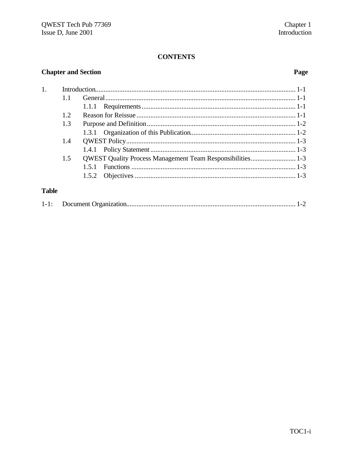#### **CONTENTS**

## **Chapter and Section**

## Page

| 1.           |      |                                                                   |  |
|--------------|------|-------------------------------------------------------------------|--|
|              | 11   |                                                                   |  |
|              |      |                                                                   |  |
|              | 1.2. |                                                                   |  |
|              | 1.3  |                                                                   |  |
|              |      |                                                                   |  |
|              | 1.4  |                                                                   |  |
|              |      |                                                                   |  |
|              | 1.5  | <b>QWEST Quality Process Management Team Responsibilities 1-3</b> |  |
|              |      | 151                                                               |  |
|              |      |                                                                   |  |
|              |      |                                                                   |  |
| <b>Table</b> |      |                                                                   |  |

|--|--|--|--|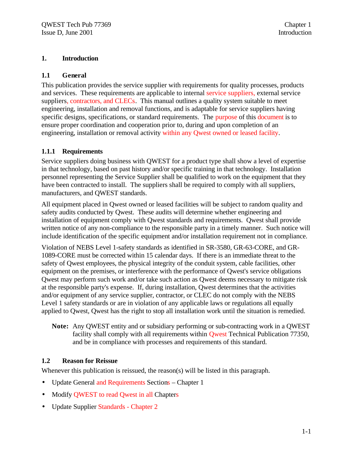#### **1. Introduction**

#### **1.1 General**

This publication provides the service supplier with requirements for quality processes, products and services. These requirements are applicable to internal service suppliers, external service suppliers, contractors, and CLECs. This manual outlines a quality system suitable to meet engineering, installation and removal functions, and is adaptable for service suppliers having specific designs, specifications, or standard requirements. The purpose of this document is to ensure proper coordination and cooperation prior to, during and upon completion of an engineering, installation or removal activity within any Qwest owned or leased facility.

#### **1.1.1 Requirements**

Service suppliers doing business with QWEST for a product type shall show a level of expertise in that technology, based on past history and/or specific training in that technology. Installation personnel representing the Service Supplier shall be qualified to work on the equipment that they have been contracted to install. The suppliers shall be required to comply with all suppliers, manufacturers, and QWEST standards.

All equipment placed in Qwest owned or leased facilities will be subject to random quality and safety audits conducted by Qwest. These audits will determine whether engineering and installation of equipment comply with Qwest standards and requirements. Qwest shall provide written notice of any non-compliance to the responsible party in a timely manner. Such notice will include identification of the specific equipment and/or installation requirement not in compliance.

Violation of NEBS Level 1-safety standards as identified in SR-3580, GR-63-CORE, and GR-1089-CORE must be corrected within 15 calendar days. If there is an immediate threat to the safety of Qwest employees, the physical integrity of the conduit system, cable facilities, other equipment on the premises, or interference with the performance of Qwest's service obligations Qwest may perform such work and/or take such action as Qwest deems necessary to mitigate risk at the responsible party's expense. If, during installation, Qwest determines that the activities and/or equipment of any service supplier, contractor, or CLEC do not comply with the NEBS Level 1 safety standards or are in violation of any applicable laws or regulations all equally applied to Qwest, Qwest has the right to stop all installation work until the situation is remedied.

**Note:** Any QWEST entity and or subsidiary performing or sub-contracting work in a QWEST facility shall comply with all requirements within **Qwest** Technical Publication 77350, and be in compliance with processes and requirements of this standard.

### **1.2 Reason for Reissue**

Whenever this publication is reissued, the reason(s) will be listed in this paragraph.

- Update General and Requirements Sections Chapter 1
- Modify QWEST to read Qwest in all Chapters
- Update Supplier Standards Chapter 2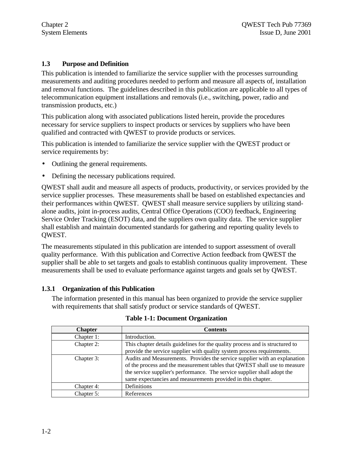#### **1.3 Purpose and Definition**

This publication is intended to familiarize the service supplier with the processes surrounding measurements and auditing procedures needed to perform and measure all aspects of, installation and removal functions. The guidelines described in this publication are applicable to all types of telecommunication equipment installations and removals (i.e., switching, power, radio and transmission products, etc.)

This publication along with associated publications listed herein, provide the procedures necessary for service suppliers to inspect products or services by suppliers who have been qualified and contracted with QWEST to provide products or services.

This publication is intended to familiarize the service supplier with the QWEST product or service requirements by:

- Outlining the general requirements.
- Defining the necessary publications required.

QWEST shall audit and measure all aspects of products, productivity, or services provided by the service supplier processes. These measurements shall be based on established expectancies and their performances within QWEST. QWEST shall measure service suppliers by utilizing standalone audits, joint in-process audits, Central Office Operations (COO) feedback, Engineering Service Order Tracking (ESOT) data, and the suppliers own quality data. The service supplier shall establish and maintain documented standards for gathering and reporting quality levels to QWEST.

The measurements stipulated in this publication are intended to support assessment of overall quality performance. With this publication and Corrective Action feedback from QWEST the supplier shall be able to set targets and goals to establish continuous quality improvement. These measurements shall be used to evaluate performance against targets and goals set by QWEST.

#### **1.3.1 Organization of this Publication**

The information presented in this manual has been organized to provide the service supplier with requirements that shall satisfy product or service standards of QWEST.

| <b>Chapter</b> | <b>Contents</b>                                                              |
|----------------|------------------------------------------------------------------------------|
| Chapter 1:     | Introduction.                                                                |
| Chapter 2:     | This chapter details guidelines for the quality process and is structured to |
|                | provide the service supplier with quality system process requirements.       |
| Chapter 3:     | Audits and Measurements. Provides the service supplier with an explanation   |
|                | of the process and the measurement tables that QWEST shall use to measure    |
|                | the service supplier's performance. The service supplier shall adopt the     |
|                | same expectancies and measurements provided in this chapter.                 |
| Chapter 4:     | Definitions                                                                  |
| Chapter 5:     | References                                                                   |

**Table 1-1: Document Organization**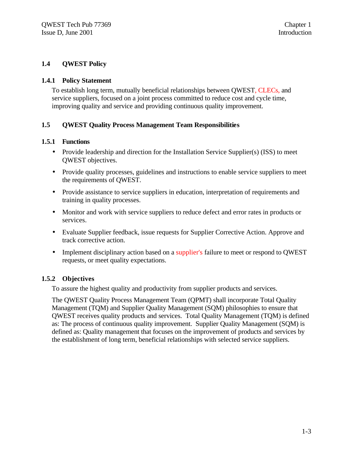#### **1.4 QWEST Policy**

#### **1.4.1 Policy Statement**

To establish long term, mutually beneficial relationships between QWEST, CLECs, and service suppliers, focused on a joint process committed to reduce cost and cycle time, improving quality and service and providing continuous quality improvement.

#### **1.5 QWEST Quality Process Management Team Responsibilities**

#### **1.5.1 Functions**

- Provide leadership and direction for the Installation Service Supplier(s) (ISS) to meet QWEST objectives.
- Provide quality processes, guidelines and instructions to enable service suppliers to meet the requirements of QWEST.
- Provide assistance to service suppliers in education, interpretation of requirements and training in quality processes.
- Monitor and work with service suppliers to reduce defect and error rates in products or services.
- Evaluate Supplier feedback, issue requests for Supplier Corrective Action. Approve and track corrective action.
- Implement disciplinary action based on a supplier's failure to meet or respond to QWEST requests, or meet quality expectations.

#### **1.5.2 Objectives**

To assure the highest quality and productivity from supplier products and services.

The QWEST Quality Process Management Team (QPMT) shall incorporate Total Quality Management (TQM) and Supplier Quality Management (SQM) philosophies to ensure that QWEST receives quality products and services. Total Quality Management (TQM) is defined as: The process of continuous quality improvement. Supplier Quality Management (SQM) is defined as: Quality management that focuses on the improvement of products and services by the establishment of long term, beneficial relationships with selected service suppliers.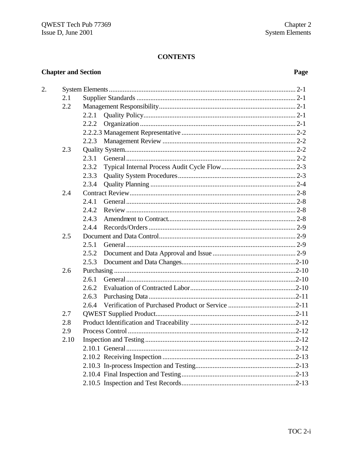### **CONTENTS**

## **Chapter and Section**

 $\overline{2}$ .

### Page

| 2.1  |       |                         |           |
|------|-------|-------------------------|-----------|
| 2.2  |       |                         |           |
|      | 2.2.1 |                         |           |
|      | 2.2.2 |                         |           |
|      |       |                         |           |
|      | 2.2.3 |                         |           |
| 2.3  |       |                         |           |
|      | 2.3.1 |                         |           |
|      | 2.3.2 |                         |           |
|      | 2.3.3 |                         |           |
|      | 2.3.4 |                         |           |
| 2.4  |       |                         |           |
|      | 2.4.1 |                         |           |
|      | 2.4.2 |                         |           |
|      | 2.4.3 |                         |           |
|      | 2.4.4 |                         |           |
| 2.5  |       |                         |           |
|      | 2.5.1 |                         |           |
|      | 2.5.2 |                         |           |
|      | 2.5.3 |                         |           |
| 2.6  |       |                         |           |
|      | 2.6.1 |                         |           |
|      | 2.6.2 |                         |           |
|      | 2.6.3 |                         |           |
|      | 2.6.4 |                         |           |
| 2.7  |       |                         |           |
| 2.8  |       |                         |           |
| 2.9  |       |                         |           |
| 2.10 |       | Inspection and Testing. | $.2 - 12$ |
|      |       |                         |           |
|      |       |                         |           |
|      |       |                         |           |
|      |       |                         |           |
|      |       |                         |           |
|      |       |                         |           |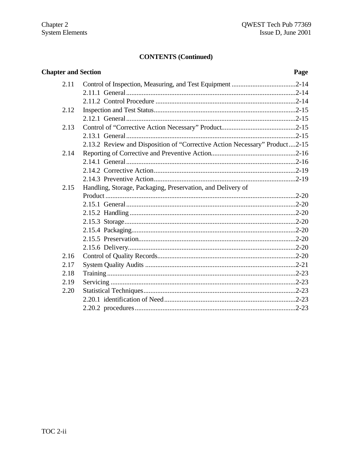## **CONTENTS (Continued)**

| <b>Chapter and Section</b> |                                                                            | Page |
|----------------------------|----------------------------------------------------------------------------|------|
| 2.11                       |                                                                            |      |
|                            |                                                                            |      |
|                            |                                                                            |      |
| 2.12                       |                                                                            |      |
|                            |                                                                            |      |
| 2.13                       |                                                                            |      |
|                            |                                                                            |      |
|                            | 2.13.2 Review and Disposition of "Corrective Action Necessary" Product2-15 |      |
| 2.14                       |                                                                            |      |
|                            |                                                                            |      |
|                            |                                                                            |      |
|                            |                                                                            |      |
| 2.15                       | Handling, Storage, Packaging, Preservation, and Delivery of                |      |
|                            |                                                                            |      |
|                            |                                                                            |      |
|                            |                                                                            |      |
|                            |                                                                            |      |
|                            |                                                                            |      |
|                            |                                                                            |      |
|                            |                                                                            |      |
| 2.16                       |                                                                            |      |
| 2.17                       |                                                                            |      |
| 2.18                       |                                                                            |      |
| 2.19                       |                                                                            |      |
| 2.20                       |                                                                            |      |
|                            |                                                                            |      |
|                            |                                                                            |      |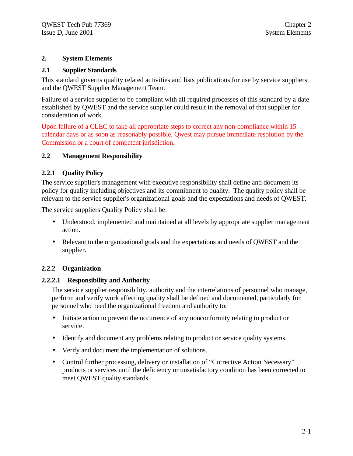#### **2. System Elements**

#### **2.1 Supplier Standards**

This standard governs quality related activities and lists publications for use by service suppliers and the QWEST Supplier Management Team.

Failure of a service supplier to be compliant with all required processes of this standard by a date established by QWEST and the service supplier could result in the removal of that supplier for consideration of work.

Upon failure of a CLEC to take all appropriate steps to correct any non-compliance within 15 calendar days or as soon as reasonably possible, Qwest may pursue immediate resolution by the Commission or a court of competent jurisdiction.

#### **2.2 Management Responsibility**

#### **2.2.1 Quality Policy**

The service supplier's management with executive responsibility shall define and document its policy for quality including objectives and its commitment to quality. The quality policy shall be relevant to the service supplier's organizational goals and the expectations and needs of QWEST.

The service suppliers Quality Policy shall be:

- Understood, implemented and maintained at all levels by appropriate supplier management action.
- Relevant to the organizational goals and the expectations and needs of QWEST and the supplier.

#### **2.2.2 Organization**

#### **2.2.2.1 Responsibility and Authority**

The service supplier responsibility, authority and the interrelations of personnel who manage, perform and verify work affecting quality shall be defined and documented, particularly for personnel who need the organizational freedom and authority to:

- Initiate action to prevent the occurrence of any nonconformity relating to product or service.
- Identify and document any problems relating to product or service quality systems.
- Verify and document the implementation of solutions.
- Control further processing, delivery or installation of "Corrective Action Necessary" products or services until the deficiency or unsatisfactory condition has been corrected to meet QWEST quality standards.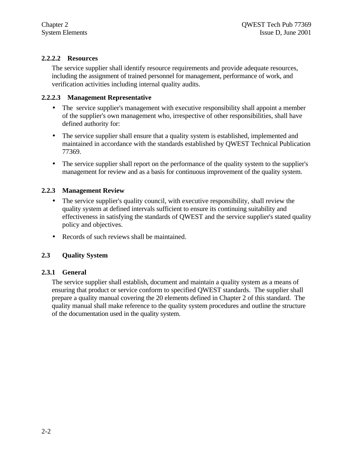#### **2.2.2.2 Resources**

The service supplier shall identify resource requirements and provide adequate resources, including the assignment of trained personnel for management, performance of work, and verification activities including internal quality audits.

#### **2.2.2.3 Management Representative**

- The service supplier's management with executive responsibility shall appoint a member of the supplier's own management who, irrespective of other responsibilities, shall have defined authority for:
- The service supplier shall ensure that a quality system is established, implemented and maintained in accordance with the standards established by QWEST Technical Publication 77369.
- The service supplier shall report on the performance of the quality system to the supplier's management for review and as a basis for continuous improvement of the quality system.

#### **2.2.3 Management Review**

- The service supplier's quality council, with executive responsibility, shall review the quality system at defined intervals sufficient to ensure its continuing suitability and effectiveness in satisfying the standards of QWEST and the service supplier's stated quality policy and objectives.
- Records of such reviews shall be maintained.

#### **2.3 Quality System**

#### **2.3.1 General**

The service supplier shall establish, document and maintain a quality system as a means of ensuring that product or service conform to specified QWEST standards. The supplier shall prepare a quality manual covering the 20 elements defined in Chapter 2 of this standard. The quality manual shall make reference to the quality system procedures and outline the structure of the documentation used in the quality system.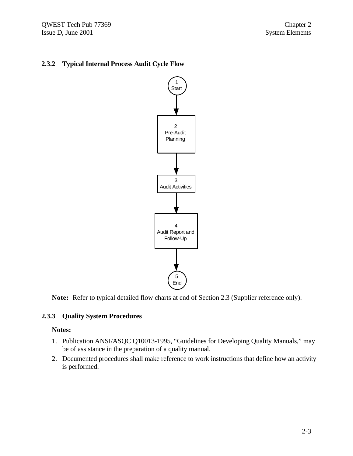QWEST Tech Pub 77369 Chapter 2 Issue D, June 2001

#### **2.3.2 Typical Internal Process Audit Cycle Flow**



**Note:** Refer to typical detailed flow charts at end of Section 2.3 (Supplier reference only).

#### **2.3.3 Quality System Procedures**

#### **Notes:**

- 1. Publication ANSI/ASQC Q10013-1995, "Guidelines for Developing Quality Manuals," may be of assistance in the preparation of a quality manual.
- 2. Documented procedures shall make reference to work instructions that define how an activity is performed.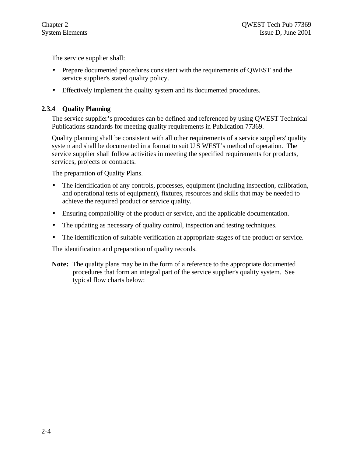The service supplier shall:

- Prepare documented procedures consistent with the requirements of QWEST and the service supplier's stated quality policy.
- Effectively implement the quality system and its documented procedures.

#### **2.3.4 Quality Planning**

The service supplier's procedures can be defined and referenced by using QWEST Technical Publications standards for meeting quality requirements in Publication 77369.

Quality planning shall be consistent with all other requirements of a service suppliers' quality system and shall be documented in a format to suit U S WEST's method of operation. The service supplier shall follow activities in meeting the specified requirements for products, services, projects or contracts.

The preparation of Quality Plans.

- The identification of any controls, processes, equipment (including inspection, calibration, and operational tests of equipment), fixtures, resources and skills that may be needed to achieve the required product or service quality.
- Ensuring compatibility of the product or service, and the applicable documentation.
- The updating as necessary of quality control, inspection and testing techniques.
- The identification of suitable verification at appropriate stages of the product or service.

The identification and preparation of quality records.

**Note:** The quality plans may be in the form of a reference to the appropriate documented procedures that form an integral part of the service supplier's quality system. See typical flow charts below: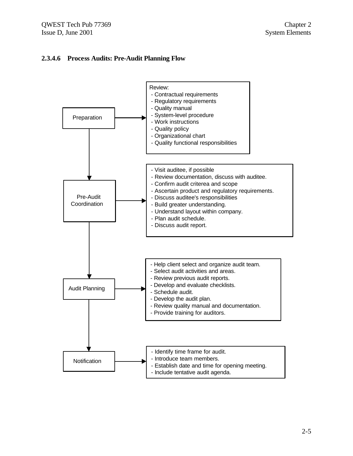#### **2.3.4.6 Process Audits: Pre-Audit Planning Flow**

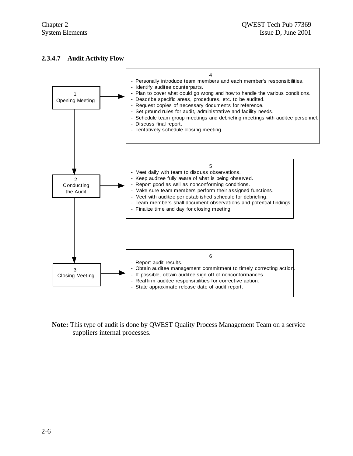#### **2.3.4.7 Audit Activity Flow**



**Note:** This type of audit is done by QWEST Quality Process Management Team on a service suppliers internal processes.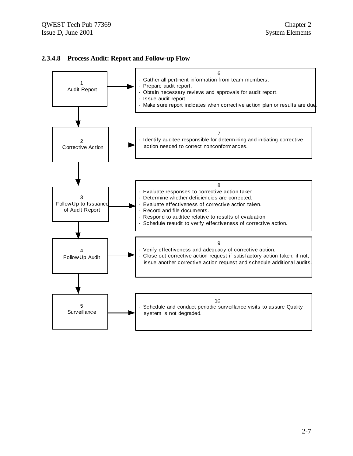

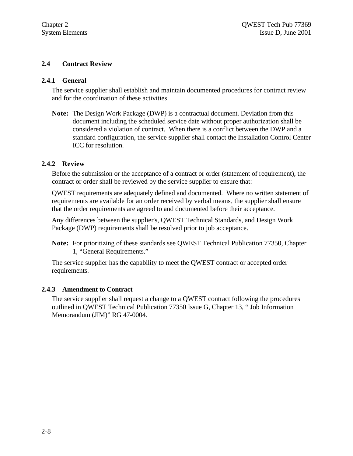#### **2.4 Contract Review**

#### **2.4.1 General**

The service supplier shall establish and maintain documented procedures for contract review and for the coordination of these activities.

**Note:** The Design Work Package (DWP) is a contractual document. Deviation from this document including the scheduled service date without proper authorization shall be considered a violation of contract. When there is a conflict between the DWP and a standard configuration, the service supplier shall contact the Installation Control Center ICC for resolution.

#### **2.4.2 Review**

Before the submission or the acceptance of a contract or order (statement of requirement), the contract or order shall be reviewed by the service supplier to ensure that:

QWEST requirements are adequately defined and documented. Where no written statement of requirements are available for an order received by verbal means, the supplier shall ensure that the order requirements are agreed to and documented before their acceptance.

Any differences between the supplier's, QWEST Technical Standards, and Design Work Package (DWP) requirements shall be resolved prior to job acceptance.

**Note:** For prioritizing of these standards see QWEST Technical Publication 77350, Chapter 1, "General Requirements."

The service supplier has the capability to meet the QWEST contract or accepted order requirements.

#### **2.4.3 Amendment to Contract**

The service supplier shall request a change to a QWEST contract following the procedures outlined in QWEST Technical Publication 77350 Issue G, Chapter 13, " Job Information Memorandum (JIM)" RG 47-0004.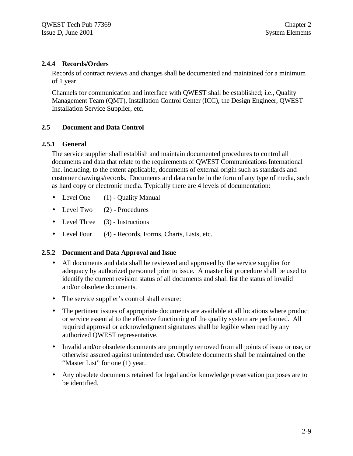#### **2.4.4 Records/Orders**

Records of contract reviews and changes shall be documented and maintained for a minimum of 1 year.

Channels for communication and interface with QWEST shall be established; i.e., Quality Management Team (QMT), Installation Control Center (ICC), the Design Engineer, QWEST Installation Service Supplier, etc.

#### **2.5 Document and Data Control**

#### **2.5.1 General**

The service supplier shall establish and maintain documented procedures to control all documents and data that relate to the requirements of QWEST Communications International Inc. including, to the extent applicable, documents of external origin such as standards and customer drawings/records. Documents and data can be in the form of any type of media, such as hard copy or electronic media. Typically there are 4 levels of documentation:

- Level One (1) Quality Manual
- Level Two (2) Procedures
- Level Three  $(3)$  Instructions
- Level Four (4) Records, Forms, Charts, Lists, etc.

#### **2.5.2 Document and Data Approval and Issue**

- All documents and data shall be reviewed and approved by the service supplier for adequacy by authorized personnel prior to issue. A master list procedure shall be used to identify the current revision status of all documents and shall list the status of invalid and/or obsolete documents.
- The service supplier's control shall ensure:
- The pertinent issues of appropriate documents are available at all locations where product or service essential to the effective functioning of the quality system are performed. All required approval or acknowledgment signatures shall be legible when read by any authorized QWEST representative.
- Invalid and/or obsolete documents are promptly removed from all points of issue or use, or otherwise assured against unintended use. Obsolete documents shall be maintained on the "Master List" for one (1) year.
- Any obsolete documents retained for legal and/or knowledge preservation purposes are to be identified.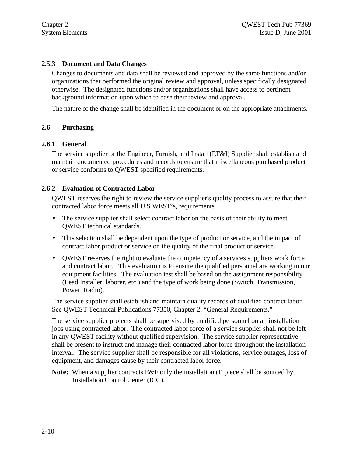#### **2.5.3 Document and Data Changes**

Changes to documents and data shall be reviewed and approved by the same functions and/or organizations that performed the original review and approval, unless specifically designated otherwise. The designated functions and/or organizations shall have access to pertinent background information upon which to base their review and approval.

The nature of the change shall be identified in the document or on the appropriate attachments.

#### **2.6 Purchasing**

#### **2.6.1 General**

The service supplier or the Engineer, Furnish, and Install (EF&I) Supplier shall establish and maintain documented procedures and records to ensure that miscellaneous purchased product or service conforms to QWEST specified requirements.

#### **2.6.2 Evaluation of Contracted Labor**

QWEST reserves the right to review the service supplier's quality process to assure that their contracted labor force meets all U S WEST's, requirements.

- The service supplier shall select contract labor on the basis of their ability to meet QWEST technical standards.
- This selection shall be dependent upon the type of product or service, and the impact of contract labor product or service on the quality of the final product or service.
- QWEST reserves the right to evaluate the competency of a services suppliers work force and contract labor. This evaluation is to ensure the qualified personnel are working in our equipment facilities. The evaluation test shall be based on the assignment responsibility (Lead Installer, laborer, etc.) and the type of work being done (Switch, Transmission, Power, Radio).

The service supplier shall establish and maintain quality records of qualified contract labor. See QWEST Technical Publications 77350, Chapter 2, "General Requirements."

The service supplier projects shall be supervised by qualified personnel on all installation jobs using contracted labor. The contracted labor force of a service supplier shall not be left in any QWEST facility without qualified supervision. The service supplier representative shall be present to instruct and manage their contracted labor force throughout the installation interval. The service supplier shall be responsible for all violations, service outages, loss of equipment, and damages cause by their contracted labor force.

**Note:** When a supplier contracts E&F only the installation (I) piece shall be sourced by Installation Control Center (ICC).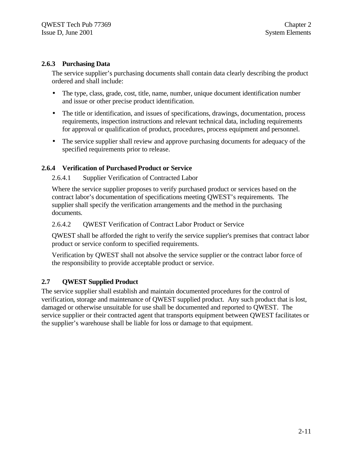#### **2.6.3 Purchasing Data**

The service supplier's purchasing documents shall contain data clearly describing the product ordered and shall include:

- The type, class, grade, cost, title, name, number, unique document identification number and issue or other precise product identification.
- The title or identification, and issues of specifications, drawings, documentation, process requirements, inspection instructions and relevant technical data, including requirements for approval or qualification of product, procedures, process equipment and personnel.
- The service supplier shall review and approve purchasing documents for adequacy of the specified requirements prior to release.

#### **2.6.4 Verification of Purchased Product or Service**

#### 2.6.4.1 Supplier Verification of Contracted Labor

Where the service supplier proposes to verify purchased product or services based on the contract labor's documentation of specifications meeting QWEST's requirements. The supplier shall specify the verification arrangements and the method in the purchasing documents.

#### 2.6.4.2 QWEST Verification of Contract Labor Product or Service

QWEST shall be afforded the right to verify the service supplier's premises that contract labor product or service conform to specified requirements.

Verification by QWEST shall not absolve the service supplier or the contract labor force of the responsibility to provide acceptable product or service.

#### **2.7 QWEST Supplied Product**

The service supplier shall establish and maintain documented procedures for the control of verification, storage and maintenance of QWEST supplied product. Any such product that is lost, damaged or otherwise unsuitable for use shall be documented and reported to QWEST. The service supplier or their contracted agent that transports equipment between QWEST facilitates or the supplier's warehouse shall be liable for loss or damage to that equipment.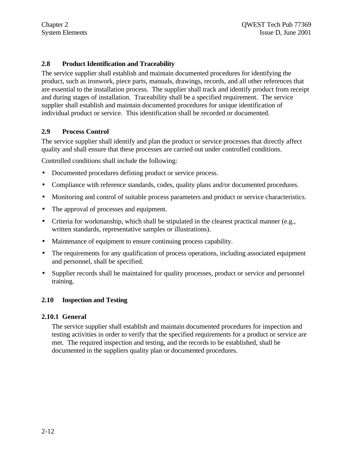#### **2.8 Product Identification and Traceability**

The service supplier shall establish and maintain documented procedures for identifying the product, such as ironwork, piece parts, manuals, drawings, records, and all other references that are essential to the installation process. The supplier shall track and identify product from receipt and during stages of installation. Traceability shall be a specified requirement. The service supplier shall establish and maintain documented procedures for unique identification of individual product or service. This identification shall be recorded or documented.

#### **2.9 Process Control**

The service supplier shall identify and plan the product or service processes that directly affect quality and shall ensure that these processes are carried out under controlled conditions.

Controlled conditions shall include the following:

- Documented procedures defining product or service process.
- Compliance with reference standards, codes, quality plans and/or documented procedures.
- Monitoring and control of suitable process parameters and product or service characteristics.
- The approval of processes and equipment.
- Criteria for workmanship, which shall be stipulated in the clearest practical manner (e.g., written standards, representative samples or illustrations).
- Maintenance of equipment to ensure continuing process capability.
- The requirements for any qualification of process operations, including associated equipment and personnel, shall be specified.
- Supplier records shall be maintained for quality processes, product or service and personnel training.

#### **2.10 Inspection and Testing**

#### **2.10.1 General**

The service supplier shall establish and maintain documented procedures for inspection and testing activities in order to verify that the specified requirements for a product or service are met. The required inspection and testing, and the records to be established, shall be documented in the suppliers quality plan or documented procedures.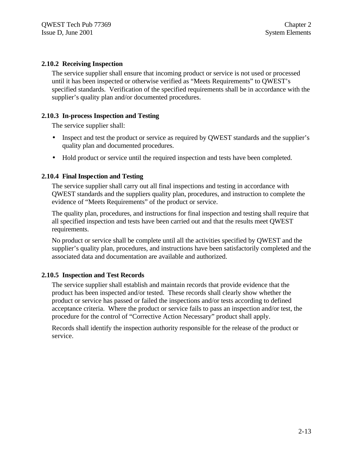#### **2.10.2 Receiving Inspection**

The service supplier shall ensure that incoming product or service is not used or processed until it has been inspected or otherwise verified as "Meets Requirements" to QWEST's specified standards. Verification of the specified requirements shall be in accordance with the supplier's quality plan and/or documented procedures.

#### **2.10.3 In-process Inspection and Testing**

The service supplier shall:

- Inspect and test the product or service as required by QWEST standards and the supplier's quality plan and documented procedures.
- Hold product or service until the required inspection and tests have been completed.

#### **2.10.4 Final Inspection and Testing**

The service supplier shall carry out all final inspections and testing in accordance with QWEST standards and the suppliers quality plan, procedures, and instruction to complete the evidence of "Meets Requirements" of the product or service.

The quality plan, procedures, and instructions for final inspection and testing shall require that all specified inspection and tests have been carried out and that the results meet QWEST requirements.

No product or service shall be complete until all the activities specified by QWEST and the supplier's quality plan, procedures, and instructions have been satisfactorily completed and the associated data and documentation are available and authorized.

#### **2.10.5 Inspection and Test Records**

The service supplier shall establish and maintain records that provide evidence that the product has been inspected and/or tested. These records shall clearly show whether the product or service has passed or failed the inspections and/or tests according to defined acceptance criteria. Where the product or service fails to pass an inspection and/or test, the procedure for the control of "Corrective Action Necessary" product shall apply.

Records shall identify the inspection authority responsible for the release of the product or service.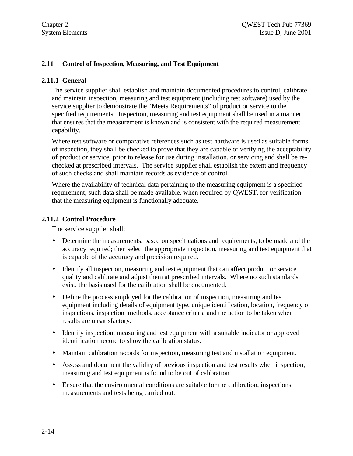#### **2.11 Control of Inspection, Measuring, and Test Equipment**

#### **2.11.1 General**

The service supplier shall establish and maintain documented procedures to control, calibrate and maintain inspection, measuring and test equipment (including test software) used by the service supplier to demonstrate the "Meets Requirements" of product or service to the specified requirements. Inspection, measuring and test equipment shall be used in a manner that ensures that the measurement is known and is consistent with the required measurement capability.

Where test software or comparative references such as test hardware is used as suitable forms of inspection, they shall be checked to prove that they are capable of verifying the acceptability of product or service, prior to release for use during installation, or servicing and shall be rechecked at prescribed intervals. The service supplier shall establish the extent and frequency of such checks and shall maintain records as evidence of control.

Where the availability of technical data pertaining to the measuring equipment is a specified requirement, such data shall be made available, when required by QWEST, for verification that the measuring equipment is functionally adequate.

#### **2.11.2 Control Procedure**

The service supplier shall:

- Determine the measurements, based on specifications and requirements, to be made and the accuracy required; then select the appropriate inspection, measuring and test equipment that is capable of the accuracy and precision required.
- Identify all inspection, measuring and test equipment that can affect product or service quality and calibrate and adjust them at prescribed intervals. Where no such standards exist, the basis used for the calibration shall be documented.
- Define the process employed for the calibration of inspection, measuring and test equipment including details of equipment type, unique identification, location, frequency of inspections, inspection methods, acceptance criteria and the action to be taken when results are unsatisfactory.
- Identify inspection, measuring and test equipment with a suitable indicator or approved identification record to show the calibration status.
- Maintain calibration records for inspection, measuring test and installation equipment.
- Assess and document the validity of previous inspection and test results when inspection, measuring and test equipment is found to be out of calibration.
- Ensure that the environmental conditions are suitable for the calibration, inspections, measurements and tests being carried out.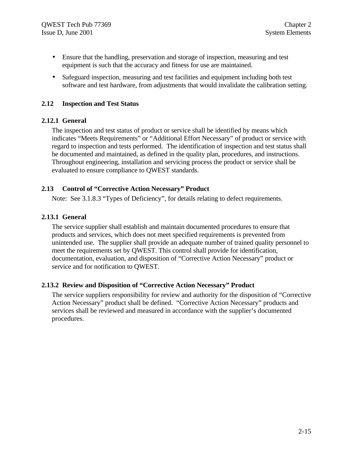- Ensure that the handling, preservation and storage of inspection, measuring and test equipment is such that the accuracy and fitness for use are maintained.
- Safeguard inspection, measuring and test facilities and equipment including both test software and test hardware, from adjustments that would invalidate the calibration setting.

#### **2.12 Inspection and Test Status**

#### **2.12.1 General**

The inspection and test status of product or service shall be identified by means which indicates "Meets Requirements" or "Additional Effort Necessary" of product or service with regard to inspection and tests performed. The identification of inspection and test status shall be documented and maintained, as defined in the quality plan, procedures, and instructions. Throughout engineering, installation and servicing process the product or service shall be evaluated to ensure compliance to QWEST standards.

#### **2.13 Control of "Corrective Action Necessary" Product**

Note: See 3.1.8.3 "Types of Deficiency", for details relating to defect requirements.

#### **2.13.1 General**

The service supplier shall establish and maintain documented procedures to ensure that products and services, which does not meet specified requirements is prevented from unintended use. The supplier shall provide an adequate number of trained quality personnel to meet the requirements set by QWEST. This control shall provide for identification, documentation, evaluation, and disposition of "Corrective Action Necessary" product or service and for notification to QWEST.

#### **2.13.2 Review and Disposition of "Corrective Action Necessary" Product**

The service suppliers responsibility for review and authority for the disposition of "Corrective Action Necessary" product shall be defined. "Corrective Action Necessary" products and services shall be reviewed and measured in accordance with the supplier's documented procedures.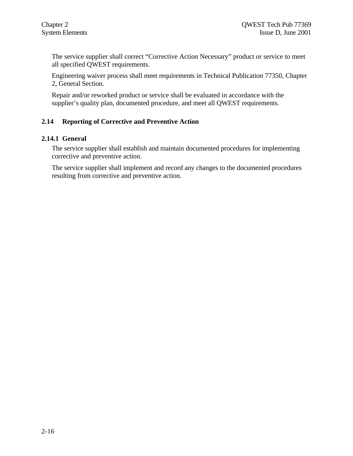The service supplier shall correct "Corrective Action Necessary" product or service to meet all specified QWEST requirements.

Engineering waiver process shall meet requirements in Technical Publication 77350, Chapter 2, General Section.

Repair and/or reworked product or service shall be evaluated in accordance with the supplier's quality plan, documented procedure, and meet all QWEST requirements.

### **2.14 Reporting of Corrective and Preventive Action**

#### **2.14.1 General**

The service supplier shall establish and maintain documented procedures for implementing corrective and preventive action.

The service supplier shall implement and record any changes to the documented procedures resulting from corrective and preventive action.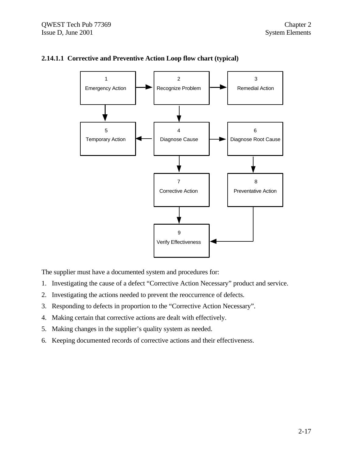![](_page_34_Figure_2.jpeg)

### **2.14.1.1 Corrective and Preventive Action Loop flow chart (typical)**

The supplier must have a documented system and procedures for:

- 1. Investigating the cause of a defect "Corrective Action Necessary" product and service.
- 2. Investigating the actions needed to prevent the reoccurrence of defects.
- 3. Responding to defects in proportion to the "Corrective Action Necessary".
- 4. Making certain that corrective actions are dealt with effectively.
- 5. Making changes in the supplier's quality system as needed.
- 6. Keeping documented records of corrective actions and their effectiveness.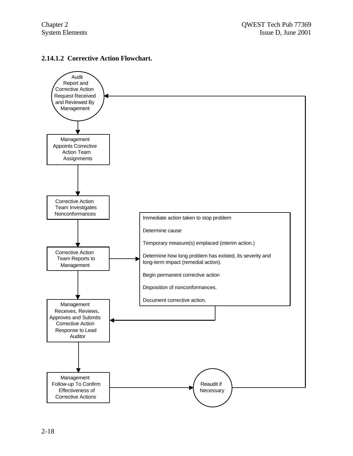#### **2.14.1.2 Corrective Action Flowchart.**

![](_page_35_Figure_3.jpeg)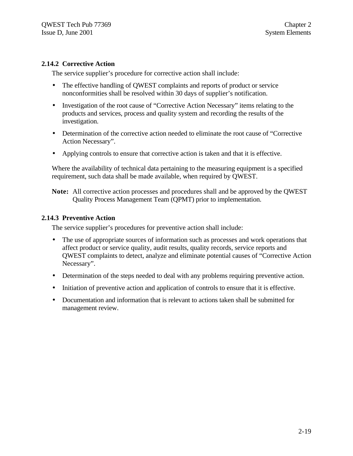#### **2.14.2 Corrective Action**

The service supplier's procedure for corrective action shall include:

- The effective handling of QWEST complaints and reports of product or service nonconformities shall be resolved within 30 days of supplier's notification.
- Investigation of the root cause of "Corrective Action Necessary" items relating to the products and services, process and quality system and recording the results of the investigation.
- Determination of the corrective action needed to eliminate the root cause of "Corrective" Action Necessary".
- Applying controls to ensure that corrective action is taken and that it is effective.

Where the availability of technical data pertaining to the measuring equipment is a specified requirement, such data shall be made available, when required by QWEST.

**Note:** All corrective action processes and procedures shall and be approved by the QWEST Quality Process Management Team (QPMT) prior to implementation.

#### **2.14.3 Preventive Action**

The service supplier's procedures for preventive action shall include:

- The use of appropriate sources of information such as processes and work operations that affect product or service quality, audit results, quality records, service reports and QWEST complaints to detect, analyze and eliminate potential causes of "Corrective Action Necessary".
- Determination of the steps needed to deal with any problems requiring preventive action.
- Initiation of preventive action and application of controls to ensure that it is effective.
- Documentation and information that is relevant to actions taken shall be submitted for management review.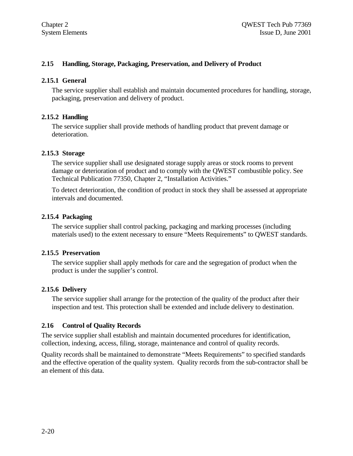#### **2.15 Handling, Storage, Packaging, Preservation, and Delivery of Product**

#### **2.15.1 General**

The service supplier shall establish and maintain documented procedures for handling, storage, packaging, preservation and delivery of product.

#### **2.15.2 Handling**

The service supplier shall provide methods of handling product that prevent damage or deterioration.

#### **2.15.3 Storage**

The service supplier shall use designated storage supply areas or stock rooms to prevent damage or deterioration of product and to comply with the QWEST combustible policy. See Technical Publication 77350, Chapter 2, "Installation Activities."

To detect deterioration, the condition of product in stock they shall be assessed at appropriate intervals and documented.

#### **2.15.4 Packaging**

The service supplier shall control packing, packaging and marking processes (including materials used) to the extent necessary to ensure "Meets Requirements" to QWEST standards.

#### **2.15.5 Preservation**

The service supplier shall apply methods for care and the segregation of product when the product is under the supplier's control.

#### **2.15.6 Delivery**

The service supplier shall arrange for the protection of the quality of the product after their inspection and test. This protection shall be extended and include delivery to destination.

#### **2.16 Control of Quality Records**

The service supplier shall establish and maintain documented procedures for identification, collection, indexing, access, filing, storage, maintenance and control of quality records.

Quality records shall be maintained to demonstrate "Meets Requirements" to specified standards and the effective operation of the quality system. Quality records from the sub-contractor shall be an element of this data.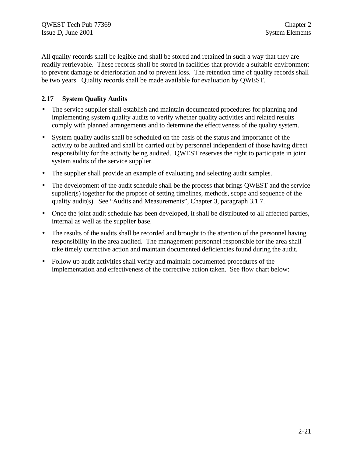All quality records shall be legible and shall be stored and retained in such a way that they are readily retrievable. These records shall be stored in facilities that provide a suitable environment to prevent damage or deterioration and to prevent loss. The retention time of quality records shall be two years. Quality records shall be made available for evaluation by QWEST.

#### **2.17 System Quality Audits**

- The service supplier shall establish and maintain documented procedures for planning and implementing system quality audits to verify whether quality activities and related results comply with planned arrangements and to determine the effectiveness of the quality system.
- System quality audits shall be scheduled on the basis of the status and importance of the activity to be audited and shall be carried out by personnel independent of those having direct responsibility for the activity being audited. QWEST reserves the right to participate in joint system audits of the service supplier.
- The supplier shall provide an example of evaluating and selecting audit samples.
- The development of the audit schedule shall be the process that brings OWEST and the service supplier(s) together for the propose of setting timelines, methods, scope and sequence of the quality audit(s). See "Audits and Measurements", Chapter 3, paragraph 3.1.7.
- Once the joint audit schedule has been developed, it shall be distributed to all affected parties, internal as well as the supplier base.
- The results of the audits shall be recorded and brought to the attention of the personnel having responsibility in the area audited. The management personnel responsible for the area shall take timely corrective action and maintain documented deficiencies found during the audit.
- Follow up audit activities shall verify and maintain documented procedures of the implementation and effectiveness of the corrective action taken. See flow chart below: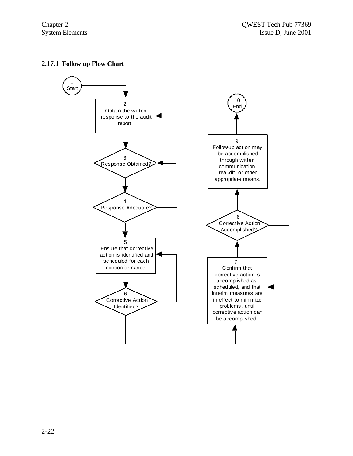#### **2.17.1 Follow up Flow Chart**

![](_page_39_Figure_3.jpeg)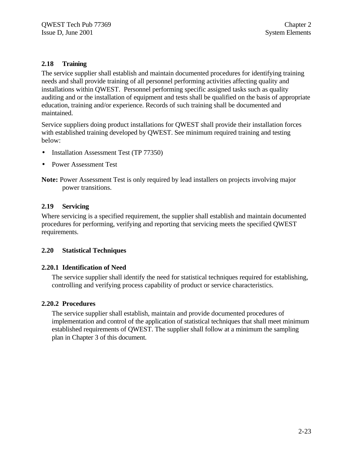#### **2.18 Training**

The service supplier shall establish and maintain documented procedures for identifying training needs and shall provide training of all personnel performing activities affecting quality and installations within QWEST. Personnel performing specific assigned tasks such as quality auditing and or the installation of equipment and tests shall be qualified on the basis of appropriate education, training and/or experience. Records of such training shall be documented and maintained.

Service suppliers doing product installations for QWEST shall provide their installation forces with established training developed by QWEST. See minimum required training and testing below:

- Installation Assessment Test (TP 77350)
- Power Assessment Test

**Note:** Power Assessment Test is only required by lead installers on projects involving major power transitions.

#### **2.19 Servicing**

Where servicing is a specified requirement, the supplier shall establish and maintain documented procedures for performing, verifying and reporting that servicing meets the specified QWEST requirements.

#### **2.20 Statistical Techniques**

#### **2.20.1 Identification of Need**

The service supplier shall identify the need for statistical techniques required for establishing, controlling and verifying process capability of product or service characteristics.

#### **2.20.2 Procedures**

The service supplier shall establish, maintain and provide documented procedures of implementation and control of the application of statistical techniques that shall meet minimum established requirements of QWEST. The supplier shall follow at a minimum the sampling plan in Chapter 3 of this document.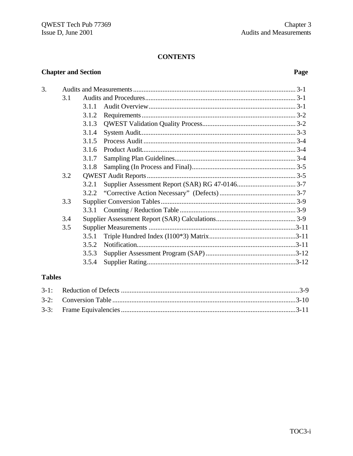#### **CONTENTS**

## **Chapter and Section**

## Page

| 3. |     |       |  |
|----|-----|-------|--|
|    | 3.1 |       |  |
|    |     | 3.1.1 |  |
|    |     | 3.1.2 |  |
|    |     | 3.1.3 |  |
|    |     | 3.1.4 |  |
|    |     | 3.1.5 |  |
|    |     | 3.1.6 |  |
|    |     | 3.1.7 |  |
|    |     | 3.1.8 |  |
|    | 3.2 |       |  |
|    |     | 3.2.1 |  |
|    |     |       |  |
|    | 3.3 |       |  |
|    |     |       |  |
|    | 3.4 |       |  |
|    | 3.5 |       |  |
|    |     | 3.5.1 |  |
|    |     | 3.5.2 |  |
|    |     | 3.5.3 |  |
|    |     | 3.5.4 |  |

## **Tables**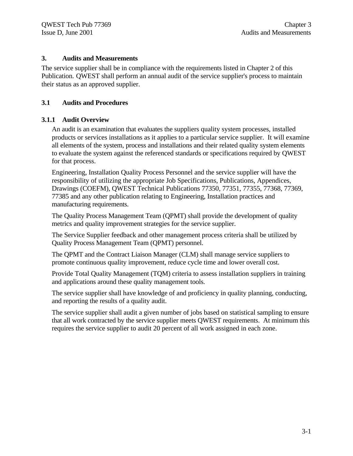#### **3. Audits and Measurements**

The service supplier shall be in compliance with the requirements listed in Chapter 2 of this Publication. QWEST shall perform an annual audit of the service supplier's process to maintain their status as an approved supplier.

#### **3.1 Audits and Procedures**

#### **3.1.1 Audit Overview**

An audit is an examination that evaluates the suppliers quality system processes, installed products or services installations as it applies to a particular service supplier. It will examine all elements of the system, process and installations and their related quality system elements to evaluate the system against the referenced standards or specifications required by QWEST for that process.

Engineering, Installation Quality Process Personnel and the service supplier will have the responsibility of utilizing the appropriate Job Specifications, Publications, Appendices, Drawings (COEFM), QWEST Technical Publications 77350, 77351, 77355, 77368, 77369, 77385 and any other publication relating to Engineering, Installation practices and manufacturing requirements.

The Quality Process Management Team (QPMT) shall provide the development of quality metrics and quality improvement strategies for the service supplier.

The Service Supplier feedback and other management process criteria shall be utilized by Quality Process Management Team (QPMT) personnel.

The QPMT and the Contract Liaison Manager (CLM) shall manage service suppliers to promote continuous quality improvement, reduce cycle time and lower overall cost.

Provide Total Quality Management (TQM) criteria to assess installation suppliers in training and applications around these quality management tools.

The service supplier shall have knowledge of and proficiency in quality planning, conducting, and reporting the results of a quality audit.

The service supplier shall audit a given number of jobs based on statistical sampling to ensure that all work contracted by the service supplier meets QWEST requirements. At minimum this requires the service supplier to audit 20 percent of all work assigned in each zone.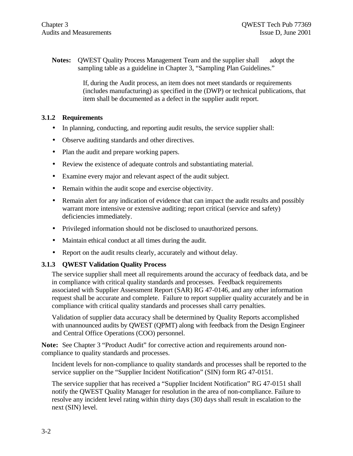**Notes:** QWEST Quality Process Management Team and the supplier shall adopt the sampling table as a guideline in Chapter 3, "Sampling Plan Guidelines."

> If, during the Audit process, an item does not meet standards or requirements (includes manufacturing) as specified in the (DWP) or technical publications, that item shall be documented as a defect in the supplier audit report.

#### **3.1.2 Requirements**

- In planning, conducting, and reporting audit results, the service supplier shall:
- Observe auditing standards and other directives.
- Plan the audit and prepare working papers.
- Review the existence of adequate controls and substantiating material.
- Examine every major and relevant aspect of the audit subject.
- Remain within the audit scope and exercise objectivity.
- Remain alert for any indication of evidence that can impact the audit results and possibly warrant more intensive or extensive auditing; report critical (service and safety) deficiencies immediately.
- Privileged information should not be disclosed to unauthorized persons.
- Maintain ethical conduct at all times during the audit.
- Report on the audit results clearly, accurately and without delay.

### **3.1.3 QWEST Validation Quality Process**

The service supplier shall meet all requirements around the accuracy of feedback data, and be in compliance with critical quality standards and processes. Feedback requirements associated with Supplier Assessment Report (SAR) RG 47-0146, and any other information request shall be accurate and complete. Failure to report supplier quality accurately and be in compliance with critical quality standards and processes shall carry penalties.

Validation of supplier data accuracy shall be determined by Quality Reports accomplished with unannounced audits by QWEST (QPMT) along with feedback from the Design Engineer and Central Office Operations (COO) personnel.

**Note:** See Chapter 3 "Product Audit" for corrective action and requirements around noncompliance to quality standards and processes.

Incident levels for non-compliance to quality standards and processes shall be reported to the service supplier on the "Supplier Incident Notification" (SIN) form RG 47-0151.

The service supplier that has received a "Supplier Incident Notification" RG 47-0151 shall notify the QWEST Quality Manager for resolution in the area of non-compliance. Failure to resolve any incident level rating within thirty days (30) days shall result in escalation to the next (SIN) level.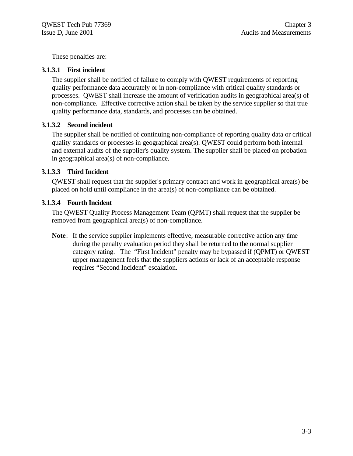These penalties are:

#### **3.1.3.1 First incident**

The supplier shall be notified of failure to comply with QWEST requirements of reporting quality performance data accurately or in non-compliance with critical quality standards or processes. QWEST shall increase the amount of verification audits in geographical area(s) of non-compliance. Effective corrective action shall be taken by the service supplier so that true quality performance data, standards, and processes can be obtained.

#### **3.1.3.2 Second incident**

The supplier shall be notified of continuing non-compliance of reporting quality data or critical quality standards or processes in geographical area(s). QWEST could perform both internal and external audits of the supplier's quality system. The supplier shall be placed on probation in geographical area(s) of non-compliance.

#### **3.1.3.3 Third Incident**

QWEST shall request that the supplier's primary contract and work in geographical area(s) be placed on hold until compliance in the area(s) of non-compliance can be obtained.

#### **3.1.3.4 Fourth Incident**

The QWEST Quality Process Management Team (QPMT) shall request that the supplier be removed from geographical area(s) of non-compliance.

**Note**: If the service supplier implements effective, measurable corrective action any time during the penalty evaluation period they shall be returned to the normal supplier category rating. The "First Incident" penalty may be bypassed if (QPMT) or QWEST upper management feels that the suppliers actions or lack of an acceptable response requires "Second Incident" escalation.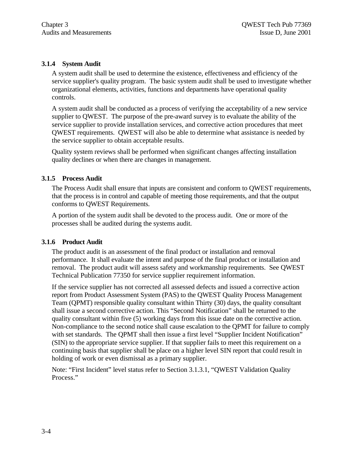#### **3.1.4 System Audit**

A system audit shall be used to determine the existence, effectiveness and efficiency of the service supplier's quality program. The basic system audit shall be used to investigate whether organizational elements, activities, functions and departments have operational quality controls.

A system audit shall be conducted as a process of verifying the acceptability of a new service supplier to QWEST. The purpose of the pre-award survey is to evaluate the ability of the service supplier to provide installation services, and corrective action procedures that meet QWEST requirements. QWEST will also be able to determine what assistance is needed by the service supplier to obtain acceptable results.

Quality system reviews shall be performed when significant changes affecting installation quality declines or when there are changes in management.

#### **3.1.5 Process Audit**

The Process Audit shall ensure that inputs are consistent and conform to QWEST requirements, that the process is in control and capable of meeting those requirements, and that the output conforms to QWEST Requirements.

A portion of the system audit shall be devoted to the process audit. One or more of the processes shall be audited during the systems audit.

#### **3.1.6 Product Audit**

The product audit is an assessment of the final product or installation and removal performance. It shall evaluate the intent and purpose of the final product or installation and removal. The product audit will assess safety and workmanship requirements. See QWEST Technical Publication 77350 for service supplier requirement information.

If the service supplier has not corrected all assessed defects and issued a corrective action report from Product Assessment System (PAS) to the QWEST Quality Process Management Team (QPMT) responsible quality consultant within Thirty (30) days, the quality consultant shall issue a second corrective action. This "Second Notification" shall be returned to the quality consultant within five (5) working days from this issue date on the corrective action. Non-compliance to the second notice shall cause escalation to the QPMT for failure to comply with set standards. The QPMT shall then issue a first level "Supplier Incident Notification" (SIN) to the appropriate service supplier. If that supplier fails to meet this requirement on a continuing basis that supplier shall be place on a higher level SIN report that could result in holding of work or even dismissal as a primary supplier.

Note: "First Incident" level status refer to Section 3.1.3.1, "QWEST Validation Quality Process."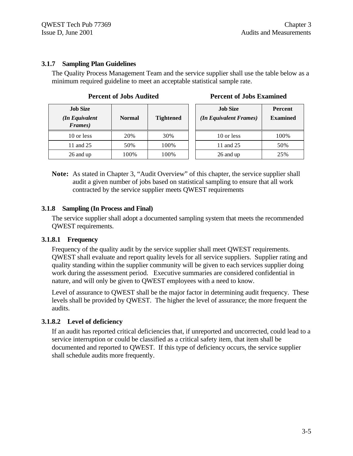#### **3.1.7 Sampling Plan Guidelines**

The Quality Process Management Team and the service supplier shall use the table below as a minimum required guideline to meet an acceptable statistical sample rate.

| <b>Job Size</b><br>(In Equivalent<br>Frames) | <b>Normal</b> | <b>Tightened</b> | <b>Job Size</b><br>(In Equivalent Frames) | Percen<br><b>Examin</b> |
|----------------------------------------------|---------------|------------------|-------------------------------------------|-------------------------|
| 10 or less                                   | 20%           | 30%              | 10 or less                                | 100%                    |
| 11 and 25                                    | 50%           | 100%             | 11 and 25                                 | 50%                     |
| 26 and up                                    | 100%          | 100%             | 26 and up                                 | 25%                     |

#### **Percent of Jobs Audited Percent of Jobs Examined**

| <b>Job Size</b><br>(In Equivalent Frames) | <b>Percent</b><br><b>Examined</b> |  |
|-------------------------------------------|-----------------------------------|--|
| 10 or less                                | 100%                              |  |
| 11 and 25                                 | 50%                               |  |
| 26 and up                                 | 25%                               |  |

**Note:** As stated in Chapter 3, "Audit Overview" of this chapter, the service supplier shall audit a given number of jobs based on statistical sampling to ensure that all work contracted by the service supplier meets QWEST requirements

#### **3.1.8 Sampling (In Process and Final)**

The service supplier shall adopt a documented sampling system that meets the recommended QWEST requirements.

#### **3.1.8.1 Frequency**

Frequency of the quality audit by the service supplier shall meet QWEST requirements. QWEST shall evaluate and report quality levels for all service suppliers. Supplier rating and quality standing within the supplier community will be given to each services supplier doing work during the assessment period. Executive summaries are considered confidential in nature, and will only be given to QWEST employees with a need to know.

Level of assurance to QWEST shall be the major factor in determining audit frequency. These levels shall be provided by QWEST. The higher the level of assurance; the more frequent the audits.

#### **3.1.8.2 Level of deficiency**

If an audit has reported critical deficiencies that, if unreported and uncorrected, could lead to a service interruption or could be classified as a critical safety item, that item shall be documented and reported to QWEST. If this type of deficiency occurs, the service supplier shall schedule audits more frequently.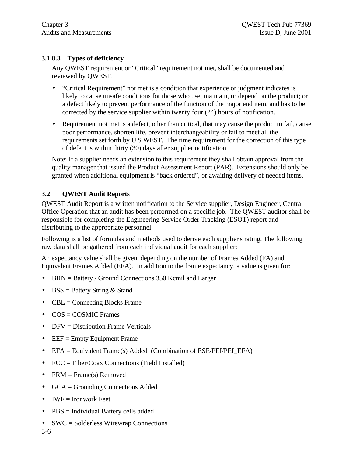### **3.1.8.3 Types of deficiency**

Any QWEST requirement or "Critical" requirement not met, shall be documented and reviewed by QWEST.

- "Critical Requirement" not met is a condition that experience or judgment indicates is likely to cause unsafe conditions for those who use, maintain, or depend on the product; or a defect likely to prevent performance of the function of the major end item, and has to be corrected by the service supplier within twenty four (24) hours of notification.
- Requirement not met is a defect, other than critical, that may cause the product to fail, cause poor performance, shorten life, prevent interchangeability or fail to meet all the requirements set forth by U S WEST. The time requirement for the correction of this type of defect is within thirty (30) days after supplier notification.

Note: If a supplier needs an extension to this requirement they shall obtain approval from the quality manager that issued the Product Assessment Report (PAR). Extensions should only be granted when additional equipment is "back ordered", or awaiting delivery of needed items.

### **3.2 QWEST Audit Reports**

QWEST Audit Report is a written notification to the Service supplier, Design Engineer, Central Office Operation that an audit has been performed on a specific job. The QWEST auditor shall be responsible for completing the Engineering Service Order Tracking (ESOT) report and distributing to the appropriate personnel.

Following is a list of formulas and methods used to derive each supplier's rating. The following raw data shall be gathered from each individual audit for each supplier:

An expectancy value shall be given, depending on the number of Frames Added (FA) and Equivalent Frames Added (EFA). In addition to the frame expectancy, a value is given for:

- BRN = Battery / Ground Connections 350 Kcmil and Larger
- BSS = Battery String  $&$  Stand
- $CBL =$  Connecting Blocks Frame
- COS = COSMIC Frames
- DFV = Distribution Frame Verticals
- $\bullet$  EEF = Empty Equipment Frame
- EFA = Equivalent Frame(s) Added (Combination of ESE/PEI/PEI\_EFA)
- FCC = Fiber/Coax Connections (Field Installed)
- FRM  $=$  Frame(s) Removed
- GCA = Grounding Connections Added
- $\bullet$  IWF = Ironwork Feet
- PBS = Individual Battery cells added
- SWC = Solderless Wirewrap Connections

3-6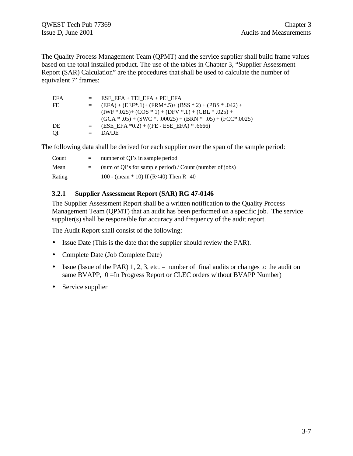The Quality Process Management Team (QPMT) and the service supplier shall build frame values based on the total installed product. The use of the tables in Chapter 3, "Supplier Assessment Report (SAR) Calculation" are the procedures that shall be used to calculate the number of equivalent 7' frames:

| EFA |         | $=$ ESE EFA + TEI EFA + PEI EFA                              |
|-----|---------|--------------------------------------------------------------|
| FE  |         | $=$ (EFA) + (EEF*.1)+ (FRM*.5)+ (BSS * 2) + (PBS * .042) +   |
|     |         | $(IWF * .025) + (COS * 1) + (DFV * .1) + (CBL * .025) +$     |
|     |         | $(GCA * .05) + (SWC * .00025) + (BRN * .05) + (FCC * .0025)$ |
| DE  | $=$ $-$ | (ESE EFA $*0.2$ ) + ((FE - ESE EFA) $*$ .6666)               |
| ΟI  | $=$     | DA/DE                                                        |

The following data shall be derived for each supplier over the span of the sample period:

| Count  | $=$ | number of OI's in sample period                          |
|--------|-----|----------------------------------------------------------|
| Mean   | $=$ | (sum of QI's for sample period) / Count (number of jobs) |
| Rating | $=$ | 100 - (mean * 10) If (R<40) Then R=40                    |

#### **3.2.1 Supplier Assessment Report (SAR) RG 47-0146**

The Supplier Assessment Report shall be a written notification to the Quality Process Management Team (QPMT) that an audit has been performed on a specific job. The service supplier(s) shall be responsible for accuracy and frequency of the audit report.

The Audit Report shall consist of the following:

- Issue Date (This is the date that the supplier should review the PAR).
- Complete Date (Job Complete Date)
- Issue (Issue of the PAR) 1, 2, 3, etc.  $=$  number of final audits or changes to the audit on same BVAPP, 0 = In Progress Report or CLEC orders without BVAPP Number)
- Service supplier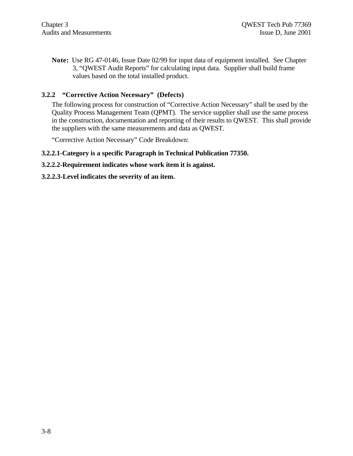**Note:** Use RG 47-0146, Issue Date 02/99 for input data of equipment installed. See Chapter 3, "QWEST Audit Reports" for calculating input data. Supplier shall build frame values based on the total installed product.

#### **3.2.2 "Corrective Action Necessary" (Defects)**

The following process for construction of "Corrective Action Necessary" shall be used by the Quality Process Management Team (QPMT). The service supplier shall use the same process in the construction, documentation and reporting of their results to QWEST. This shall provide the suppliers with the same measurements and data as QWEST.

"Corrective Action Necessary" Code Breakdown:

#### **3.2.2.1-Category is a specific Paragraph in Technical Publication 77350.**

#### **3.2.2.2-Requirement indicates whose work item it is against.**

#### **3.2.2.3-Level indicates the severity of an item.**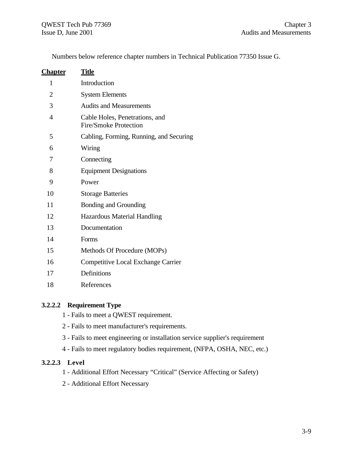Numbers below reference chapter numbers in Technical Publication 77350 Issue G.

| <u>Chapter</u> | Title                                                   |
|----------------|---------------------------------------------------------|
| $\mathbf{1}$   | Introduction                                            |
| $\overline{2}$ | <b>System Elements</b>                                  |
| 3              | <b>Audits and Measurements</b>                          |
| $\overline{4}$ | Cable Holes, Penetrations, and<br>Fire/Smoke Protection |
| 5              | Cabling, Forming, Running, and Securing                 |
| 6              | Wiring                                                  |
| 7              | Connecting                                              |
| 8              | <b>Equipment Designations</b>                           |
| 9              | Power                                                   |
| 10             | <b>Storage Batteries</b>                                |
| 11             | Bonding and Grounding                                   |
| 12             | <b>Hazardous Material Handling</b>                      |
| 13             | Documentation                                           |
| 14             | Forms                                                   |
| 15             | Methods Of Procedure (MOPs)                             |
| 16             | <b>Competitive Local Exchange Carrier</b>               |
| 17             | Definitions                                             |
| 18             | References                                              |
|                |                                                         |

### **3.2.2.2 Requirement Type**

- 1 Fails to meet a QWEST requirement.
- 2 Fails to meet manufacturer's requirements.
- 3 Fails to meet engineering or installation service supplier's requirement
- 4 Fails to meet regulatory bodies requirement, (NFPA, OSHA, NEC, etc.)

#### **3.2.2.3 Level**

- 1 Additional Effort Necessary "Critical" (Service Affecting or Safety)
- 2 Additional Effort Necessary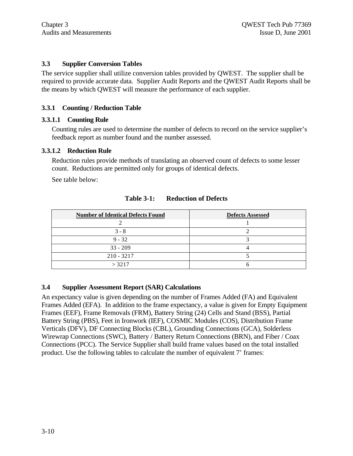#### **3.3 Supplier Conversion Tables**

The service supplier shall utilize conversion tables provided by QWEST. The supplier shall be required to provide accurate data. Supplier Audit Reports and the QWEST Audit Reports shall be the means by which QWEST will measure the performance of each supplier.

#### **3.3.1 Counting / Reduction Table**

#### **3.3.1.1 Counting Rule**

Counting rules are used to determine the number of defects to record on the service supplier's feedback report as number found and the number assessed.

#### **3.3.1.2 Reduction Rule**

Reduction rules provide methods of translating an observed count of defects to some lesser count. Reductions are permitted only for groups of identical defects.

See table below:

| <b>Number of Identical Defects Found</b> | <b>Defects Assessed</b> |
|------------------------------------------|-------------------------|
|                                          |                         |
| $3 - 8$                                  |                         |
| $9 - 32$                                 |                         |
| $33 - 209$                               |                         |
| $210 - 3217$                             |                         |
| > 3217                                   |                         |

#### **Table 3-1: Reduction of Defects**

#### **3.4 Supplier Assessment Report (SAR) Calculations**

An expectancy value is given depending on the number of Frames Added (FA) and Equivalent Frames Added (EFA). In addition to the frame expectancy, a value is given for Empty Equipment Frames (EEF), Frame Removals (FRM), Battery String (24) Cells and Stand (BSS), Partial Battery String (PBS), Feet in Ironwork (IEF), COSMIC Modules (COS), Distribution Frame Verticals (DFV), DF Connecting Blocks (CBL), Grounding Connections (GCA), Solderless Wirewrap Connections (SWC), Battery / Battery Return Connections (BRN), and Fiber / Coax Connections (PCC). The Service Supplier shall build frame values based on the total installed product. Use the following tables to calculate the number of equivalent 7' frames: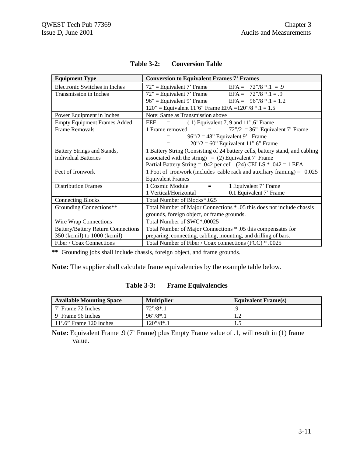| <b>Equipment Type</b>                     | <b>Conversion to Equivalent Frames 7' Frames</b>                             |  |  |
|-------------------------------------------|------------------------------------------------------------------------------|--|--|
| Electronic Switches in Inches             | $72"$ = Equivalent 7' Frame<br>EFA = $72\frac{7}{8}$ * .1 = .9               |  |  |
| Transmission in Inches                    | $72"$ = Equivalent 7' Frame EFA = $72" / 8*.1 = .9$                          |  |  |
|                                           | $96"$ = Equivalent 9' Frame EFA = $96" / 8 * .1 = 1.2$                       |  |  |
|                                           | 120" = Equivalent 11'6" Frame EFA = $120$ "/8 * .1 = 1.5                     |  |  |
| Power Equipment in Inches                 | Note: Same as Transmission above                                             |  |  |
| <b>Empty Equipment Frames Added</b>       | EEF<br>$(0.1)$ Equivalent 7, 9 and 11".6' Frame                              |  |  |
| <b>Frame Removals</b>                     | $72\degree$ /2 = 36 $\degree$ Equivalent 7' Frame<br>1 Frame removed<br>$=$  |  |  |
|                                           | $96\degree/2 = 48\degree$ Equivalent 9' Frame<br>$=$                         |  |  |
|                                           | $120''/2 = 60''$ Equivalent 11" 6" Frame<br>$=$                              |  |  |
| Battery Strings and Stands,               | 1 Battery String (Consisting of 24 battery cells, battery stand, and cabling |  |  |
| <b>Individual Batteries</b>               | associated with the string) = $(2)$ Equivalent 7' Frame                      |  |  |
|                                           | Partial Battery String = .042 per cell $(24)$ CELLS $*$ .042 = 1 EFA         |  |  |
| Feet of Ironwork                          | 1 Foot of ironwork (includes cable rack and auxiliary framing) = $0.025$     |  |  |
|                                           | <b>Equivalent Frames</b>                                                     |  |  |
| <b>Distribution Frames</b>                | 1 Cosmic Module<br>1 Equivalent 7' Frame<br>$=$ $-$                          |  |  |
|                                           | 1 Vertical/Horizontal<br>0.1 Equivalent 7' Frame<br>$=$                      |  |  |
| <b>Connecting Blocks</b>                  | Total Number of Blocks*.025                                                  |  |  |
| Grounding Connections**                   | Total Number of Major Connections * .05 this does not include chassis        |  |  |
|                                           | grounds, foreign object, or frame grounds.                                   |  |  |
| Wire Wrap Connections                     | Total Number of SWC*.00025                                                   |  |  |
| <b>Battery/Battery Return Connections</b> | Total Number of Major Connections * .05 this compensates for                 |  |  |
| 350 (kcmil) to 1000 (kcmil)               | preparing, connecting, cabling, mounting, and drilling of bars.              |  |  |
| Fiber / Coax Connections                  | Total Number of Fiber / Coax connections (FCC) * .0025                       |  |  |

| <b>Table 3-2:</b> | <b>Conversion Table</b> |
|-------------------|-------------------------|
|-------------------|-------------------------|

**\*\*** Grounding jobs shall include chassis, foreign object, and frame grounds.

**Note:** The supplier shall calculate frame equivalencies by the example table below.

| <b>Table 3-3:</b> | <b>Frame Equivalencies</b> |
|-------------------|----------------------------|
|-------------------|----------------------------|

| <b>Available Mounting Space</b> | <b>Multiplier</b>   | <b>Equivalent Frame(s)</b> |
|---------------------------------|---------------------|----------------------------|
| 7' Frame 72 Inches              | $72''/8*1$          |                            |
| 9' Frame 96 Inches              | $96''/8*1$          | .                          |
| $11^\circ.6$ " Frame 120 Inches | $120\degree/8^*$ .1 |                            |

**Note:** Equivalent Frame .9 (7' Frame) plus Empty Frame value of .1, will result in (1) frame value.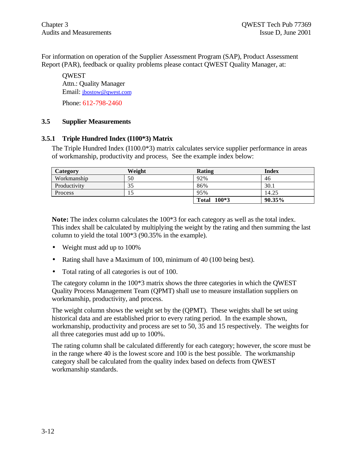For information on operation of the Supplier Assessment Program (SAP), Product Assessment Report (PAR), feedback or quality problems please contact QWEST Quality Manager, at:

**OWEST** Attn.: Quality Manager Email: jbostow@qwest.com Phone: 612-798-2460

#### **3.5 Supplier Measurements**

#### **3.5.1 Triple Hundred Index (I100\*3) Matrix**

The Triple Hundred Index  $(1100.0*)$  matrix calculates service supplier performance in areas of workmanship, productivity and process. See the example index below:

| Category     | Weight | <b>Rating</b> | Index  |
|--------------|--------|---------------|--------|
| Workmanship  | 50     | 92%           | 46     |
| Productivity | 35     | 86%           | 30.1   |
| Process      |        | 95%           | 14.25  |
|              |        | Total 100*3   | 90.35% |

**Note:** The index column calculates the 100\*3 for each category as well as the total index. This index shall be calculated by multiplying the weight by the rating and then summing the last column to yield the total 100\*3 (90.35% in the example).

- Weight must add up to 100%
- Rating shall have a Maximum of 100, minimum of 40 (100 being best).
- Total rating of all categories is out of 100.

The category column in the 100\*3 matrix shows the three categories in which the QWEST Quality Process Management Team (QPMT) shall use to measure installation suppliers on workmanship, productivity, and process.

The weight column shows the weight set by the (QPMT). These weights shall be set using historical data and are established prior to every rating period. In the example shown, workmanship, productivity and process are set to 50, 35 and 15 respectively. The weights for all three categories must add up to 100%.

The rating column shall be calculated differently for each category; however, the score must be in the range where 40 is the lowest score and 100 is the best possible. The workmanship category shall be calculated from the quality index based on defects from QWEST workmanship standards.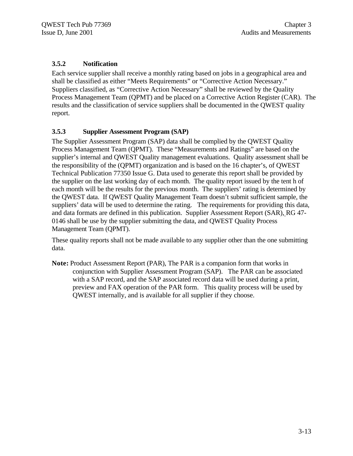#### **3.5.2 Notification**

Each service supplier shall receive a monthly rating based on jobs in a geographical area and shall be classified as either "Meets Requirements" or "Corrective Action Necessary." Suppliers classified, as "Corrective Action Necessary" shall be reviewed by the Quality Process Management Team (QPMT) and be placed on a Corrective Action Register (CAR). The results and the classification of service suppliers shall be documented in the QWEST quality report.

#### **3.5.3 Supplier Assessment Program (SAP)**

The Supplier Assessment Program (SAP) data shall be complied by the QWEST Quality Process Management Team (QPMT). These "Measurements and Ratings" are based on the supplier's internal and QWEST Quality management evaluations. Quality assessment shall be the responsibility of the (QPMT) organization and is based on the 16 chapter's, of QWEST Technical Publication 77350 Issue G. Data used to generate this report shall be provided by the supplier on the last working day of each month. The quality report issued by the tent h of each month will be the results for the previous month. The suppliers' rating is determined by the QWEST data. If QWEST Quality Management Team doesn't submit sufficient sample, the suppliers' data will be used to determine the rating. The requirements for providing this data, and data formats are defined in this publication. Supplier Assessment Report (SAR), RG 47- 0146 shall be use by the supplier submitting the data, and QWEST Quality Process Management Team (QPMT).

These quality reports shall not be made available to any supplier other than the one submitting data.

**Note:** Product Assessment Report (PAR), The PAR is a companion form that works in conjunction with Supplier Assessment Program (SAP). The PAR can be associated with a SAP record, and the SAP associated record data will be used during a print, preview and FAX operation of the PAR form. This quality process will be used by QWEST internally, and is available for all supplier if they choose.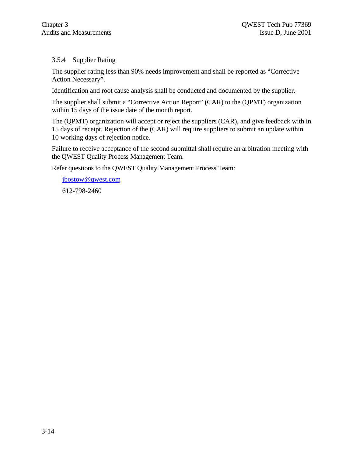#### 3.5.4 Supplier Rating

The supplier rating less than 90% needs improvement and shall be reported as "Corrective Action Necessary".

Identification and root cause analysis shall be conducted and documented by the supplier.

The supplier shall submit a "Corrective Action Report" (CAR) to the (QPMT) organization within 15 days of the issue date of the month report.

The (QPMT) organization will accept or reject the suppliers (CAR), and give feedback with in 15 days of receipt. Rejection of the (CAR) will require suppliers to submit an update within 10 working days of rejection notice.

Failure to receive acceptance of the second submittal shall require an arbitration meeting with the QWEST Quality Process Management Team.

Refer questions to the QWEST Quality Management Process Team:

jbostow@qwest.com 612-798-2460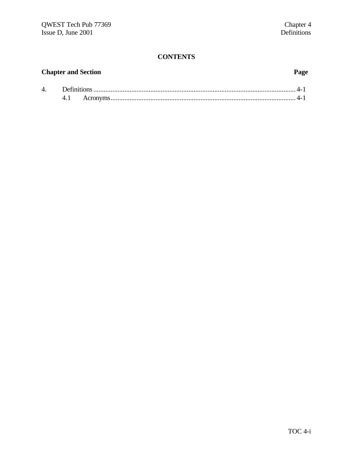### **CONTENTS**

## **Chapter and Section Page**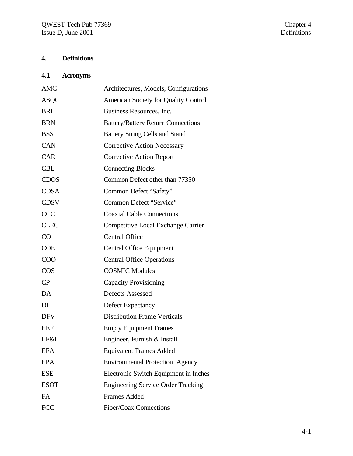# **4. Definitions**

## **4.1 Acronyms**

| <b>AMC</b>  | Architectures, Models, Configurations       |
|-------------|---------------------------------------------|
| <b>ASQC</b> | <b>American Society for Quality Control</b> |
| <b>BRI</b>  | Business Resources, Inc.                    |
| <b>BRN</b>  | <b>Battery/Battery Return Connections</b>   |
| <b>BSS</b>  | <b>Battery String Cells and Stand</b>       |
| CAN         | <b>Corrective Action Necessary</b>          |
| <b>CAR</b>  | <b>Corrective Action Report</b>             |
| <b>CBL</b>  | <b>Connecting Blocks</b>                    |
| <b>CDOS</b> | Common Defect other than 77350              |
| <b>CDSA</b> | Common Defect "Safety"                      |
| <b>CDSV</b> | Common Defect "Service"                     |
| <b>CCC</b>  | <b>Coaxial Cable Connections</b>            |
| <b>CLEC</b> | <b>Competitive Local Exchange Carrier</b>   |
| CO          | <b>Central Office</b>                       |
| <b>COE</b>  | <b>Central Office Equipment</b>             |
| COO         | <b>Central Office Operations</b>            |
| <b>COS</b>  | <b>COSMIC Modules</b>                       |
| CP          | <b>Capacity Provisioning</b>                |
| DA          | <b>Defects Assessed</b>                     |
| DE          | Defect Expectancy                           |
| <b>DFV</b>  | <b>Distribution Frame Verticals</b>         |
| <b>EEF</b>  | <b>Empty Equipment Frames</b>               |
| EF&I        | Engineer, Furnish & Install                 |
| <b>EFA</b>  | <b>Equivalent Frames Added</b>              |
| <b>EPA</b>  | <b>Environmental Protection Agency</b>      |
| <b>ESE</b>  | Electronic Switch Equipment in Inches       |
| <b>ESOT</b> | <b>Engineering Service Order Tracking</b>   |
| FA          | <b>Frames Added</b>                         |
| <b>FCC</b>  | Fiber/Coax Connections                      |
|             |                                             |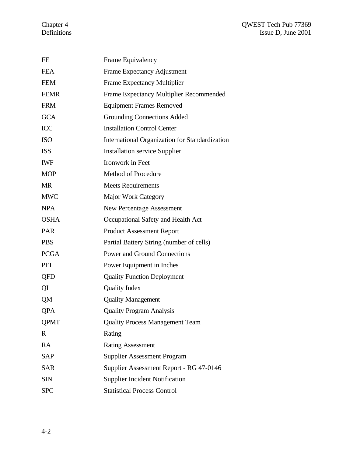| FE          | Frame Equivalency                              |
|-------------|------------------------------------------------|
| <b>FEA</b>  | <b>Frame Expectancy Adjustment</b>             |
| <b>FEM</b>  | <b>Frame Expectancy Multiplier</b>             |
| <b>FEMR</b> | Frame Expectancy Multiplier Recommended        |
| <b>FRM</b>  | <b>Equipment Frames Removed</b>                |
| <b>GCA</b>  | <b>Grounding Connections Added</b>             |
| <b>ICC</b>  | <b>Installation Control Center</b>             |
| <b>ISO</b>  | International Organization for Standardization |
| <b>ISS</b>  | <b>Installation service Supplier</b>           |
| <b>IWF</b>  | Ironwork in Feet                               |
| <b>MOP</b>  | <b>Method of Procedure</b>                     |
| <b>MR</b>   | <b>Meets Requirements</b>                      |
| <b>MWC</b>  | <b>Major Work Category</b>                     |
| <b>NPA</b>  | <b>New Percentage Assessment</b>               |
| <b>OSHA</b> | Occupational Safety and Health Act             |
| <b>PAR</b>  | <b>Product Assessment Report</b>               |
| <b>PBS</b>  | Partial Battery String (number of cells)       |
| <b>PCGA</b> | <b>Power and Ground Connections</b>            |
| PEI         | Power Equipment in Inches                      |
| QFD         | <b>Quality Function Deployment</b>             |
| QI          | <b>Quality Index</b>                           |
| QM          | <b>Quality Management</b>                      |
| QPA         | <b>Quality Program Analysis</b>                |
| <b>QPMT</b> | <b>Quality Process Management Team</b>         |
| $\mathbf R$ | Rating                                         |
| <b>RA</b>   | <b>Rating Assessment</b>                       |
| <b>SAP</b>  | <b>Supplier Assessment Program</b>             |
| <b>SAR</b>  | Supplier Assessment Report - RG 47-0146        |
| <b>SIN</b>  | <b>Supplier Incident Notification</b>          |
| <b>SPC</b>  | <b>Statistical Process Control</b>             |
|             |                                                |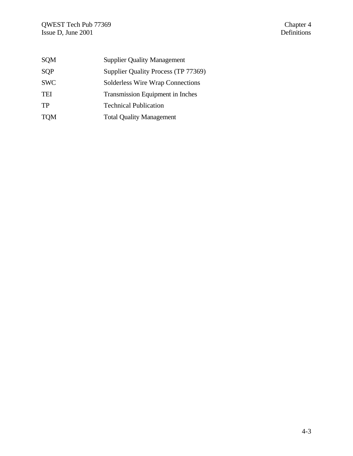| <b>SQM</b> | <b>Supplier Quality Management</b>      |
|------------|-----------------------------------------|
| SQP        | Supplier Quality Process (TP 77369)     |
| <b>SWC</b> | <b>Solderless Wire Wrap Connections</b> |
| <b>TEI</b> | Transmission Equipment in Inches        |
| <b>TP</b>  | <b>Technical Publication</b>            |
| <b>TOM</b> | <b>Total Quality Management</b>         |
|            |                                         |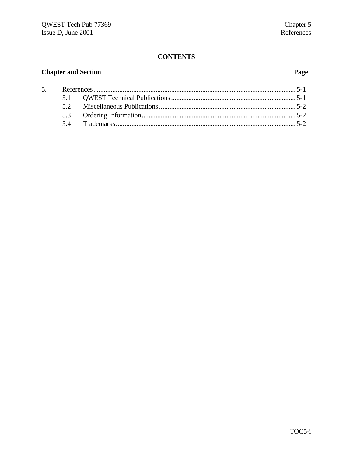### **CONTENTS**

## **Chapter and Section**

## Page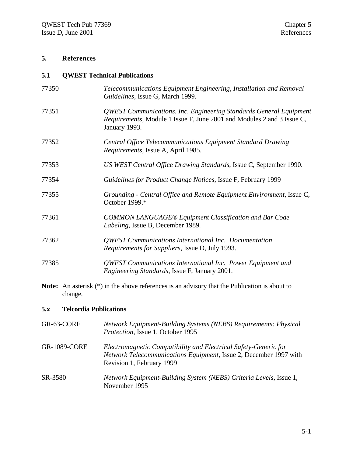### **5. References**

#### **5.1 QWEST Technical Publications**

| 77350 | Telecommunications Equipment Engineering, Installation and Removal<br>Guidelines, Issue G, March 1999.                                                        |
|-------|---------------------------------------------------------------------------------------------------------------------------------------------------------------|
| 77351 | QWEST Communications, Inc. Engineering Standards General Equipment<br>Requirements, Module 1 Issue F, June 2001 and Modules 2 and 3 Issue C,<br>January 1993. |
| 77352 | Central Office Telecommunications Equipment Standard Drawing<br>Requirements, Issue A, April 1985.                                                            |
| 77353 | US WEST Central Office Drawing Standards, Issue C, September 1990.                                                                                            |
| 77354 | Guidelines for Product Change Notices, Issue F, February 1999                                                                                                 |
| 77355 | Grounding - Central Office and Remote Equipment Environment, Issue C,<br>October 1999.*                                                                       |
| 77361 | <b>COMMON LANGUAGE® Equipment Classification and Bar Code</b><br>Labeling, Issue B, December 1989.                                                            |
| 77362 | QWEST Communications International Inc. Documentation<br>Requirements for Suppliers, Issue D, July 1993.                                                      |
| 77385 | QWEST Communications International Inc. Power Equipment and<br>Engineering Standards, Issue F, January 2001.                                                  |

**Note:** An asterisk (\*) in the above references is an advisory that the Publication is about to change.

### **5.x Telcordia Publications**

| GR-63-CORE          | Network Equipment-Building Systems (NEBS) Requirements: Physical<br>Protection, Issue 1, October 1995                                                             |
|---------------------|-------------------------------------------------------------------------------------------------------------------------------------------------------------------|
| <b>GR-1089-CORE</b> | Electromagnetic Compatibility and Electrical Safety-Generic for<br>Network Telecommunications Equipment, Issue 2, December 1997 with<br>Revision 1, February 1999 |
| SR-3580             | Network Equipment-Building System (NEBS) Criteria Levels, Issue 1,<br>November 1995                                                                               |